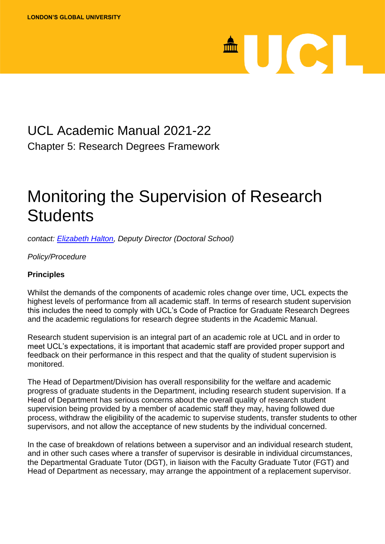# <sup>A</sup>UCL

### UCL Academic Manual 2021-22 Chapter 5: Research Degrees Framework

## Monitoring the Supervision of Research **Students**

*contact: [Elizabeth Halton,](mailto:e.halton@ucl.ac.uk) Deputy Director (Doctoral School)*

*Policy/Procedure*

#### **Principles**

Whilst the demands of the components of academic roles change over time, UCL expects the highest levels of performance from all academic staff. In terms of research student supervision this includes the need to comply with UCL's Code of Practice for Graduate Research Degrees and the academic regulations for research degree students in the Academic Manual.

Research student supervision is an integral part of an academic role at UCL and in order to meet UCL's expectations, it is important that academic staff are provided proper support and feedback on their performance in this respect and that the quality of student supervision is monitored.

The Head of Department/Division has overall responsibility for the welfare and academic progress of graduate students in the Department, including research student supervision. If a Head of Department has serious concerns about the overall quality of research student supervision being provided by a member of academic staff they may, having followed due process, withdraw the eligibility of the academic to supervise students, transfer students to other supervisors, and not allow the acceptance of new students by the individual concerned.

In the case of breakdown of relations between a supervisor and an individual research student, and in other such cases where a transfer of supervisor is desirable in individual circumstances, the Departmental Graduate Tutor (DGT), in liaison with the Faculty Graduate Tutor (FGT) and Head of Department as necessary, may arrange the appointment of a replacement supervisor.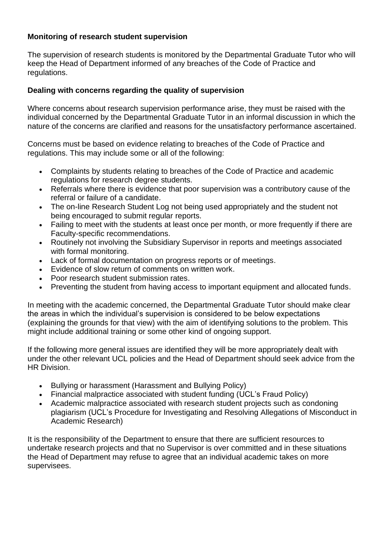#### **Monitoring of research student supervision**

The supervision of research students is monitored by the Departmental Graduate Tutor who will keep the Head of Department informed of any breaches of the Code of Practice and regulations.

#### **Dealing with concerns regarding the quality of supervision**

Where concerns about research supervision performance arise, they must be raised with the individual concerned by the Departmental Graduate Tutor in an informal discussion in which the nature of the concerns are clarified and reasons for the unsatisfactory performance ascertained.

Concerns must be based on evidence relating to breaches of the Code of Practice and regulations. This may include some or all of the following:

- Complaints by students relating to breaches of the Code of Practice and academic regulations for research degree students.
- Referrals where there is evidence that poor supervision was a contributory cause of the referral or failure of a candidate.
- The on-line Research Student Log not being used appropriately and the student not being encouraged to submit regular reports.
- Failing to meet with the students at least once per month, or more frequently if there are Faculty-specific recommendations.
- Routinely not involving the Subsidiary Supervisor in reports and meetings associated with formal monitoring.
- Lack of formal documentation on progress reports or of meetings.
- Evidence of slow return of comments on written work.
- Poor research student submission rates.
- Preventing the student from having access to important equipment and allocated funds.

In meeting with the academic concerned, the Departmental Graduate Tutor should make clear the areas in which the individual's supervision is considered to be below expectations (explaining the grounds for that view) with the aim of identifying solutions to the problem. This might include additional training or some other kind of ongoing support.

If the following more general issues are identified they will be more appropriately dealt with under the other relevant UCL policies and the Head of Department should seek advice from the HR Division.

- Bullying or harassment (Harassment and Bullying Policy)
- Financial malpractice associated with student funding (UCL's Fraud Policy)
- Academic malpractice associated with research student projects such as condoning plagiarism (UCL's Procedure for Investigating and Resolving Allegations of Misconduct in Academic Research)

It is the responsibility of the Department to ensure that there are sufficient resources to undertake research projects and that no Supervisor is over committed and in these situations the Head of Department may refuse to agree that an individual academic takes on more supervisees.